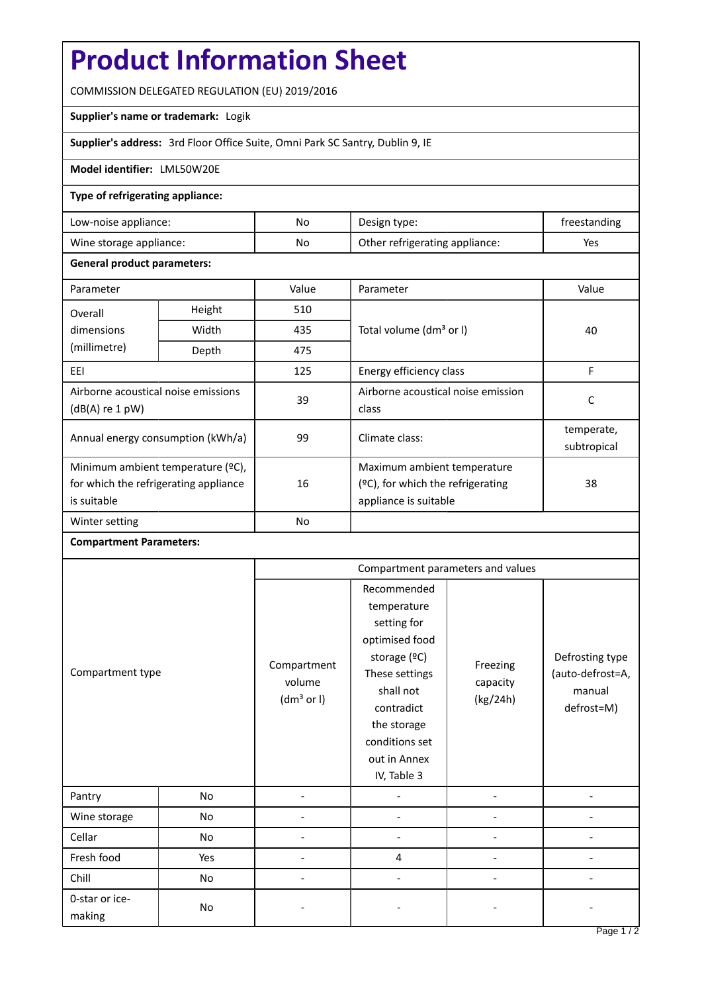# **Product Information Sheet**

COMMISSION DELEGATED REGULATION (EU) 2019/2016

# **Supplier's name or trademark:** Logik

**Supplier's address:** 3rd Floor Office Suite, Omni Park SC Santry, Dublin 9, IE

# **Model identifier:** LML50W20E

## **Type of refrigerating appliance:**

| Low-noise appliance:    | No | Design type:                   | freestanding |
|-------------------------|----|--------------------------------|--------------|
| Wine storage appliance: | No | Other refrigerating appliance: | Yes          |

### **General product parameters:**

| Parameter                                                                                 |        | Value     | Parameter                                                                                    | Value                     |
|-------------------------------------------------------------------------------------------|--------|-----------|----------------------------------------------------------------------------------------------|---------------------------|
| Overall                                                                                   | Height | 510       |                                                                                              | 40                        |
| dimensions<br>(millimetre)                                                                | Width  | 435       | Total volume (dm <sup>3</sup> or I)                                                          |                           |
|                                                                                           | Depth  | 475       |                                                                                              |                           |
| EEI                                                                                       |        | 125       | Energy efficiency class                                                                      | F                         |
| Airborne acoustical noise emissions<br>$(dB(A)$ re 1 pW)                                  |        | 39        | Airborne acoustical noise emission<br>class                                                  | C                         |
| Annual energy consumption (kWh/a)                                                         |        | 99        | Climate class:                                                                               | temperate,<br>subtropical |
| Minimum ambient temperature (°C),<br>for which the refrigerating appliance<br>is suitable |        | 16        | Maximum ambient temperature<br>$(2C)$ , for which the refrigerating<br>appliance is suitable | 38                        |
| Winter setting                                                                            |        | <b>No</b> |                                                                                              |                           |

#### **Compartment Parameters:**

| Compartment type         |     | Compartment parameters and values               |                                                                                                                                                                                          |                                  |                                                             |
|--------------------------|-----|-------------------------------------------------|------------------------------------------------------------------------------------------------------------------------------------------------------------------------------------------|----------------------------------|-------------------------------------------------------------|
|                          |     | Compartment<br>volume<br>(dm <sup>3</sup> or I) | Recommended<br>temperature<br>setting for<br>optimised food<br>storage (°C)<br>These settings<br>shall not<br>contradict<br>the storage<br>conditions set<br>out in Annex<br>IV, Table 3 | Freezing<br>capacity<br>(kg/24h) | Defrosting type<br>(auto-defrost=A,<br>manual<br>defrost=M) |
| Pantry                   | No  |                                                 |                                                                                                                                                                                          |                                  |                                                             |
| Wine storage             | No  |                                                 |                                                                                                                                                                                          |                                  |                                                             |
| Cellar                   | No  |                                                 |                                                                                                                                                                                          |                                  |                                                             |
| Fresh food               | Yes |                                                 | 4                                                                                                                                                                                        |                                  |                                                             |
| Chill                    | No  |                                                 |                                                                                                                                                                                          |                                  |                                                             |
| 0-star or ice-<br>making | No  |                                                 |                                                                                                                                                                                          |                                  |                                                             |